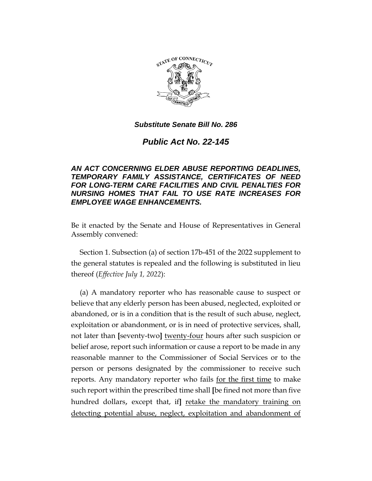

*Public Act No. 22-145*

# *AN ACT CONCERNING ELDER ABUSE REPORTING DEADLINES, TEMPORARY FAMILY ASSISTANCE, CERTIFICATES OF NEED FOR LONG-TERM CARE FACILITIES AND CIVIL PENALTIES FOR NURSING HOMES THAT FAIL TO USE RATE INCREASES FOR EMPLOYEE WAGE ENHANCEMENTS.*

Be it enacted by the Senate and House of Representatives in General Assembly convened:

Section 1. Subsection (a) of section 17b-451 of the 2022 supplement to the general statutes is repealed and the following is substituted in lieu thereof (*Effective July 1, 2022*):

(a) A mandatory reporter who has reasonable cause to suspect or believe that any elderly person has been abused, neglected, exploited or abandoned, or is in a condition that is the result of such abuse, neglect, exploitation or abandonment, or is in need of protective services, shall, not later than **[**seventy-two**]** twenty-four hours after such suspicion or belief arose, report such information or cause a report to be made in any reasonable manner to the Commissioner of Social Services or to the person or persons designated by the commissioner to receive such reports. Any mandatory reporter who fails <u>for the first time</u> to make such report within the prescribed time shall **[**be fined not more than five hundred dollars, except that, if**]** retake the mandatory training on detecting potential abuse, neglect, exploitation and abandonment of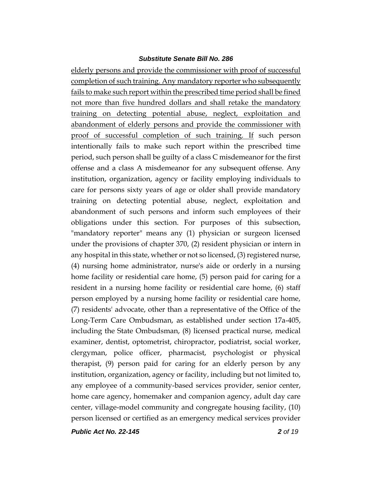elderly persons and provide the commissioner with proof of successful completion of such training. Any mandatory reporter who subsequently fails to make such report within the prescribed time period shall be fined not more than five hundred dollars and shall retake the mandatory training on detecting potential abuse, neglect, exploitation and abandonment of elderly persons and provide the commissioner with proof of successful completion of such training. If such person intentionally fails to make such report within the prescribed time period, such person shall be guilty of a class C misdemeanor for the first offense and a class A misdemeanor for any subsequent offense. Any institution, organization, agency or facility employing individuals to care for persons sixty years of age or older shall provide mandatory training on detecting potential abuse, neglect, exploitation and abandonment of such persons and inform such employees of their obligations under this section. For purposes of this subsection, "mandatory reporter" means any (1) physician or surgeon licensed under the provisions of chapter 370, (2) resident physician or intern in any hospital in this state, whether or not so licensed, (3) registered nurse, (4) nursing home administrator, nurse's aide or orderly in a nursing home facility or residential care home, (5) person paid for caring for a resident in a nursing home facility or residential care home, (6) staff person employed by a nursing home facility or residential care home, (7) residents' advocate, other than a representative of the Office of the Long-Term Care Ombudsman, as established under section 17a-405, including the State Ombudsman, (8) licensed practical nurse, medical examiner, dentist, optometrist, chiropractor, podiatrist, social worker, clergyman, police officer, pharmacist, psychologist or physical therapist, (9) person paid for caring for an elderly person by any institution, organization, agency or facility, including but not limited to, any employee of a community-based services provider, senior center, home care agency, homemaker and companion agency, adult day care center, village-model community and congregate housing facility, (10) person licensed or certified as an emergency medical services provider

*Public Act No. 22-145 2 of 19*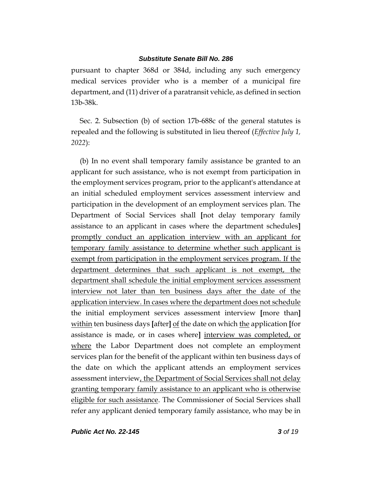pursuant to chapter 368d or 384d, including any such emergency medical services provider who is a member of a municipal fire department, and (11) driver of a paratransit vehicle, as defined in section 13b-38k.

Sec. 2. Subsection (b) of section 17b-688c of the general statutes is repealed and the following is substituted in lieu thereof (*Effective July 1, 2022*):

(b) In no event shall temporary family assistance be granted to an applicant for such assistance, who is not exempt from participation in the employment services program, prior to the applicant's attendance at an initial scheduled employment services assessment interview and participation in the development of an employment services plan. The Department of Social Services shall **[**not delay temporary family assistance to an applicant in cases where the department schedules**]** promptly conduct an application interview with an applicant for temporary family assistance to determine whether such applicant is exempt from participation in the employment services program. If the department determines that such applicant is not exempt, the department shall schedule the initial employment services assessment interview not later than ten business days after the date of the application interview. In cases where the department does not schedule the initial employment services assessment interview **[**more than**]** within ten business days **[**after**]** of the date on which the application **[**for assistance is made, or in cases where**]** interview was completed, or where the Labor Department does not complete an employment services plan for the benefit of the applicant within ten business days of the date on which the applicant attends an employment services assessment interview, the Department of Social Services shall not delay granting temporary family assistance to an applicant who is otherwise eligible for such assistance. The Commissioner of Social Services shall refer any applicant denied temporary family assistance, who may be in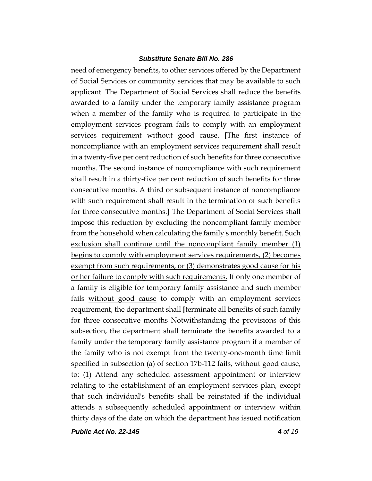need of emergency benefits, to other services offered by the Department of Social Services or community services that may be available to such applicant. The Department of Social Services shall reduce the benefits awarded to a family under the temporary family assistance program when a member of the family who is required to participate in the employment services program fails to comply with an employment services requirement without good cause. **[**The first instance of noncompliance with an employment services requirement shall result in a twenty-five per cent reduction of such benefits for three consecutive months. The second instance of noncompliance with such requirement shall result in a thirty-five per cent reduction of such benefits for three consecutive months. A third or subsequent instance of noncompliance with such requirement shall result in the termination of such benefits for three consecutive months.**]** The Department of Social Services shall impose this reduction by excluding the noncompliant family member from the household when calculating the family's monthly benefit. Such exclusion shall continue until the noncompliant family member (1) begins to comply with employment services requirements, (2) becomes exempt from such requirements, or (3) demonstrates good cause for his or her failure to comply with such requirements. If only one member of a family is eligible for temporary family assistance and such member fails without good cause to comply with an employment services requirement, the department shall **[**terminate all benefits of such family for three consecutive months Notwithstanding the provisions of this subsection, the department shall terminate the benefits awarded to a family under the temporary family assistance program if a member of the family who is not exempt from the twenty-one-month time limit specified in subsection (a) of section 17b-112 fails, without good cause, to: (1) Attend any scheduled assessment appointment or interview relating to the establishment of an employment services plan, except that such individual's benefits shall be reinstated if the individual attends a subsequently scheduled appointment or interview within thirty days of the date on which the department has issued notification

*Public Act No. 22-145 4 of 19*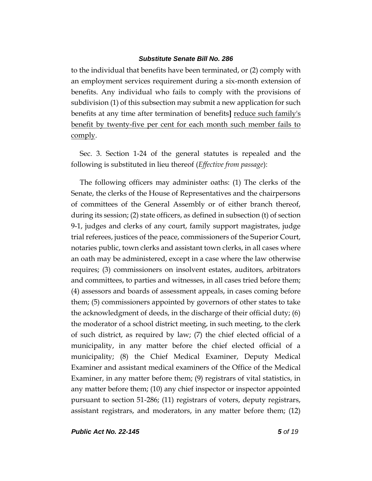to the individual that benefits have been terminated, or (2) comply with an employment services requirement during a six-month extension of benefits. Any individual who fails to comply with the provisions of subdivision (1) of this subsection may submit a new application for such benefits at any time after termination of benefits**]** reduce such family's benefit by twenty-five per cent for each month such member fails to comply.

Sec. 3. Section 1-24 of the general statutes is repealed and the following is substituted in lieu thereof (*Effective from passage*):

The following officers may administer oaths: (1) The clerks of the Senate, the clerks of the House of Representatives and the chairpersons of committees of the General Assembly or of either branch thereof, during its session; (2) state officers, as defined in subsection (t) of section 9-1, judges and clerks of any court, family support magistrates, judge trial referees, justices of the peace, commissioners of the Superior Court, notaries public, town clerks and assistant town clerks, in all cases where an oath may be administered, except in a case where the law otherwise requires; (3) commissioners on insolvent estates, auditors, arbitrators and committees, to parties and witnesses, in all cases tried before them; (4) assessors and boards of assessment appeals, in cases coming before them; (5) commissioners appointed by governors of other states to take the acknowledgment of deeds, in the discharge of their official duty; (6) the moderator of a school district meeting, in such meeting, to the clerk of such district, as required by law; (7) the chief elected official of a municipality, in any matter before the chief elected official of a municipality; (8) the Chief Medical Examiner, Deputy Medical Examiner and assistant medical examiners of the Office of the Medical Examiner, in any matter before them; (9) registrars of vital statistics, in any matter before them; (10) any chief inspector or inspector appointed pursuant to section 51-286; (11) registrars of voters, deputy registrars, assistant registrars, and moderators, in any matter before them; (12)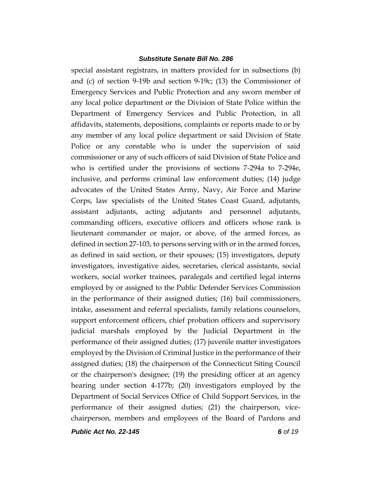special assistant registrars, in matters provided for in subsections (b) and (c) of section 9-19b and section 9-19c; (13) the Commissioner of Emergency Services and Public Protection and any sworn member of any local police department or the Division of State Police within the Department of Emergency Services and Public Protection, in all affidavits, statements, depositions, complaints or reports made to or by any member of any local police department or said Division of State Police or any constable who is under the supervision of said commissioner or any of such officers of said Division of State Police and who is certified under the provisions of sections 7-294a to 7-294e, inclusive, and performs criminal law enforcement duties; (14) judge advocates of the United States Army, Navy, Air Force and Marine Corps, law specialists of the United States Coast Guard, adjutants, assistant adjutants, acting adjutants and personnel adjutants, commanding officers, executive officers and officers whose rank is lieutenant commander or major, or above, of the armed forces, as defined in section 27-103, to persons serving with or in the armed forces, as defined in said section, or their spouses; (15) investigators, deputy investigators, investigative aides, secretaries, clerical assistants, social workers, social worker trainees, paralegals and certified legal interns employed by or assigned to the Public Defender Services Commission in the performance of their assigned duties; (16) bail commissioners, intake, assessment and referral specialists, family relations counselors, support enforcement officers, chief probation officers and supervisory judicial marshals employed by the Judicial Department in the performance of their assigned duties; (17) juvenile matter investigators employed by the Division of Criminal Justice in the performance of their assigned duties; (18) the chairperson of the Connecticut Siting Council or the chairperson's designee; (19) the presiding officer at an agency hearing under section 4-177b; (20) investigators employed by the Department of Social Services Office of Child Support Services, in the performance of their assigned duties; (21) the chairperson, vicechairperson, members and employees of the Board of Pardons and

*Public Act No. 22-145 6 of 19*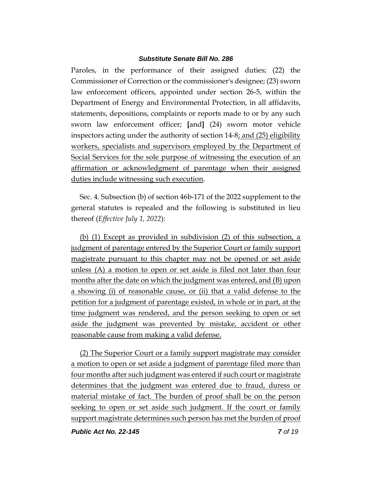Paroles, in the performance of their assigned duties; (22) the Commissioner of Correction or the commissioner's designee; (23) sworn law enforcement officers, appointed under section 26-5, within the Department of Energy and Environmental Protection, in all affidavits, statements, depositions, complaints or reports made to or by any such sworn law enforcement officer; **[**and**]** (24) sworn motor vehicle inspectors acting under the authority of section 14-8; and (25) eligibility workers, specialists and supervisors employed by the Department of Social Services for the sole purpose of witnessing the execution of an affirmation or acknowledgment of parentage when their assigned duties include witnessing such execution.

Sec. 4. Subsection (b) of section 46b-171 of the 2022 supplement to the general statutes is repealed and the following is substituted in lieu thereof (*Effective July 1, 2022*):

(b) (1) Except as provided in subdivision (2) of this subsection, a judgment of parentage entered by the Superior Court or family support magistrate pursuant to this chapter may not be opened or set aside unless (A) a motion to open or set aside is filed not later than four months after the date on which the judgment was entered, and (B) upon a showing (i) of reasonable cause, or (ii) that a valid defense to the petition for a judgment of parentage existed, in whole or in part, at the time judgment was rendered, and the person seeking to open or set aside the judgment was prevented by mistake, accident or other reasonable cause from making a valid defense.

(2) The Superior Court or a family support magistrate may consider a motion to open or set aside a judgment of parentage filed more than four months after such judgment was entered if such court or magistrate determines that the judgment was entered due to fraud, duress or material mistake of fact. The burden of proof shall be on the person seeking to open or set aside such judgment. If the court or family support magistrate determines such person has met the burden of proof

*Public Act No. 22-145 7 of 19*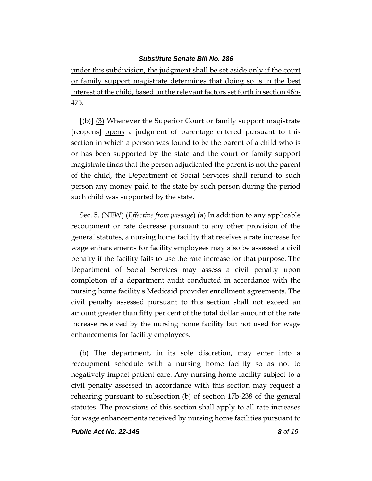under this subdivision, the judgment shall be set aside only if the court or family support magistrate determines that doing so is in the best interest of the child, based on the relevant factors set forth in section 46b-475.

**[**(b)**]** (3) Whenever the Superior Court or family support magistrate **[**reopens**]** opens a judgment of parentage entered pursuant to this section in which a person was found to be the parent of a child who is or has been supported by the state and the court or family support magistrate finds that the person adjudicated the parent is not the parent of the child, the Department of Social Services shall refund to such person any money paid to the state by such person during the period such child was supported by the state.

Sec. 5. (NEW) (*Effective from passage*) (a) In addition to any applicable recoupment or rate decrease pursuant to any other provision of the general statutes, a nursing home facility that receives a rate increase for wage enhancements for facility employees may also be assessed a civil penalty if the facility fails to use the rate increase for that purpose. The Department of Social Services may assess a civil penalty upon completion of a department audit conducted in accordance with the nursing home facility's Medicaid provider enrollment agreements. The civil penalty assessed pursuant to this section shall not exceed an amount greater than fifty per cent of the total dollar amount of the rate increase received by the nursing home facility but not used for wage enhancements for facility employees.

(b) The department, in its sole discretion, may enter into a recoupment schedule with a nursing home facility so as not to negatively impact patient care. Any nursing home facility subject to a civil penalty assessed in accordance with this section may request a rehearing pursuant to subsection (b) of section 17b-238 of the general statutes. The provisions of this section shall apply to all rate increases for wage enhancements received by nursing home facilities pursuant to

*Public Act No. 22-145 8 of 19*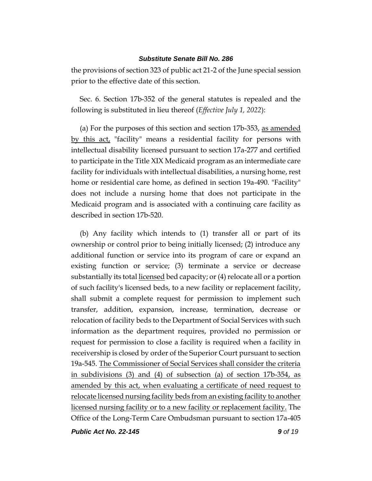the provisions of section 323 of public act 21-2 of the June special session prior to the effective date of this section.

Sec. 6. Section 17b-352 of the general statutes is repealed and the following is substituted in lieu thereof (*Effective July 1, 2022*):

(a) For the purposes of this section and section 17b-353, as amended by this act, "facility" means a residential facility for persons with intellectual disability licensed pursuant to section 17a-277 and certified to participate in the Title XIX Medicaid program as an intermediate care facility for individuals with intellectual disabilities, a nursing home, rest home or residential care home, as defined in section 19a-490. "Facility" does not include a nursing home that does not participate in the Medicaid program and is associated with a continuing care facility as described in section 17b-520.

(b) Any facility which intends to (1) transfer all or part of its ownership or control prior to being initially licensed; (2) introduce any additional function or service into its program of care or expand an existing function or service; (3) terminate a service or decrease substantially its total <u>licensed</u> bed capacity; or (4) relocate all or a portion of such facility's licensed beds, to a new facility or replacement facility, shall submit a complete request for permission to implement such transfer, addition, expansion, increase, termination, decrease or relocation of facility beds to the Department of Social Services with such information as the department requires, provided no permission or request for permission to close a facility is required when a facility in receivership is closed by order of the Superior Court pursuant to section 19a-545. The Commissioner of Social Services shall consider the criteria in subdivisions (3) and (4) of subsection (a) of section 17b-354, as amended by this act, when evaluating a certificate of need request to relocate licensed nursing facility beds from an existing facility to another licensed nursing facility or to a new facility or replacement facility. The Office of the Long-Term Care Ombudsman pursuant to section 17a-405

*Public Act No. 22-145 9 of 19*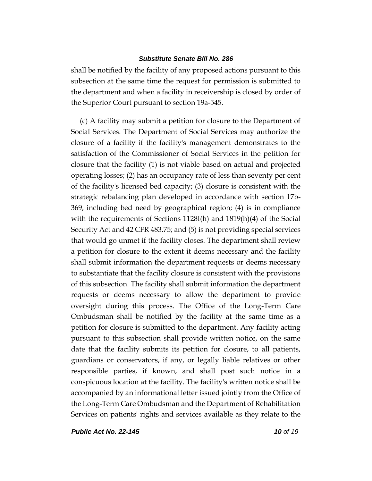shall be notified by the facility of any proposed actions pursuant to this subsection at the same time the request for permission is submitted to the department and when a facility in receivership is closed by order of the Superior Court pursuant to section 19a-545.

(c) A facility may submit a petition for closure to the Department of Social Services. The Department of Social Services may authorize the closure of a facility if the facility's management demonstrates to the satisfaction of the Commissioner of Social Services in the petition for closure that the facility (1) is not viable based on actual and projected operating losses; (2) has an occupancy rate of less than seventy per cent of the facility's licensed bed capacity; (3) closure is consistent with the strategic rebalancing plan developed in accordance with section 17b-369, including bed need by geographical region; (4) is in compliance with the requirements of Sections 1128I(h) and 1819(h)(4) of the Social Security Act and 42 CFR 483.75; and (5) is not providing special services that would go unmet if the facility closes. The department shall review a petition for closure to the extent it deems necessary and the facility shall submit information the department requests or deems necessary to substantiate that the facility closure is consistent with the provisions of this subsection. The facility shall submit information the department requests or deems necessary to allow the department to provide oversight during this process. The Office of the Long-Term Care Ombudsman shall be notified by the facility at the same time as a petition for closure is submitted to the department. Any facility acting pursuant to this subsection shall provide written notice, on the same date that the facility submits its petition for closure, to all patients, guardians or conservators, if any, or legally liable relatives or other responsible parties, if known, and shall post such notice in a conspicuous location at the facility. The facility's written notice shall be accompanied by an informational letter issued jointly from the Office of the Long-Term Care Ombudsman and the Department of Rehabilitation Services on patients' rights and services available as they relate to the

*Public Act No. 22-145 10 of 19*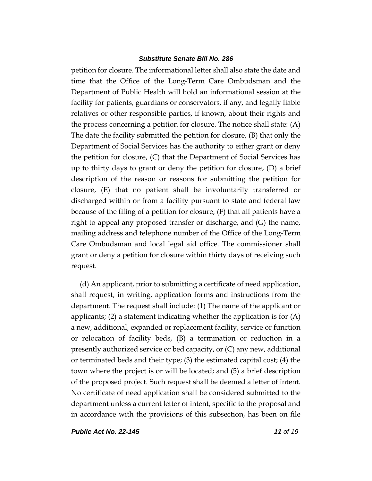petition for closure. The informational letter shall also state the date and time that the Office of the Long-Term Care Ombudsman and the Department of Public Health will hold an informational session at the facility for patients, guardians or conservators, if any, and legally liable relatives or other responsible parties, if known, about their rights and the process concerning a petition for closure. The notice shall state: (A) The date the facility submitted the petition for closure, (B) that only the Department of Social Services has the authority to either grant or deny the petition for closure, (C) that the Department of Social Services has up to thirty days to grant or deny the petition for closure, (D) a brief description of the reason or reasons for submitting the petition for closure, (E) that no patient shall be involuntarily transferred or discharged within or from a facility pursuant to state and federal law because of the filing of a petition for closure, (F) that all patients have a right to appeal any proposed transfer or discharge, and (G) the name, mailing address and telephone number of the Office of the Long-Term Care Ombudsman and local legal aid office. The commissioner shall grant or deny a petition for closure within thirty days of receiving such request.

(d) An applicant, prior to submitting a certificate of need application, shall request, in writing, application forms and instructions from the department. The request shall include: (1) The name of the applicant or applicants; (2) a statement indicating whether the application is for  $(A)$ a new, additional, expanded or replacement facility, service or function or relocation of facility beds, (B) a termination or reduction in a presently authorized service or bed capacity, or (C) any new, additional or terminated beds and their type; (3) the estimated capital cost; (4) the town where the project is or will be located; and (5) a brief description of the proposed project. Such request shall be deemed a letter of intent. No certificate of need application shall be considered submitted to the department unless a current letter of intent, specific to the proposal and in accordance with the provisions of this subsection, has been on file

*Public Act No. 22-145 11 of 19*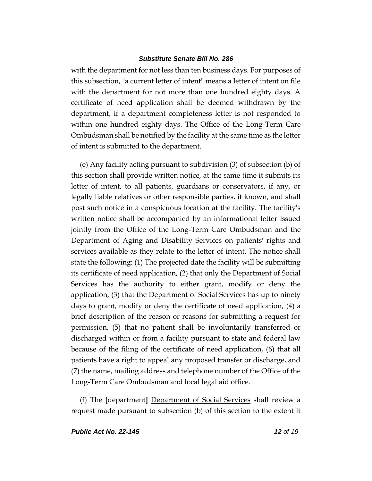with the department for not less than ten business days. For purposes of this subsection, "a current letter of intent" means a letter of intent on file with the department for not more than one hundred eighty days. A certificate of need application shall be deemed withdrawn by the department, if a department completeness letter is not responded to within one hundred eighty days. The Office of the Long-Term Care Ombudsman shall be notified by the facility at the same time as the letter of intent is submitted to the department.

(e) Any facility acting pursuant to subdivision (3) of subsection (b) of this section shall provide written notice, at the same time it submits its letter of intent, to all patients, guardians or conservators, if any, or legally liable relatives or other responsible parties, if known, and shall post such notice in a conspicuous location at the facility. The facility's written notice shall be accompanied by an informational letter issued jointly from the Office of the Long-Term Care Ombudsman and the Department of Aging and Disability Services on patients' rights and services available as they relate to the letter of intent. The notice shall state the following: (1) The projected date the facility will be submitting its certificate of need application, (2) that only the Department of Social Services has the authority to either grant, modify or deny the application, (3) that the Department of Social Services has up to ninety days to grant, modify or deny the certificate of need application, (4) a brief description of the reason or reasons for submitting a request for permission, (5) that no patient shall be involuntarily transferred or discharged within or from a facility pursuant to state and federal law because of the filing of the certificate of need application, (6) that all patients have a right to appeal any proposed transfer or discharge, and (7) the name, mailing address and telephone number of the Office of the Long-Term Care Ombudsman and local legal aid office.

(f) The **[**department**]** Department of Social Services shall review a request made pursuant to subsection (b) of this section to the extent it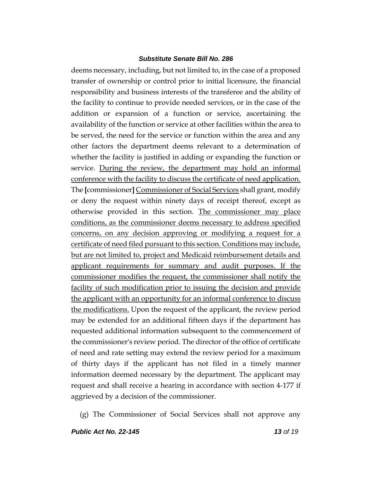deems necessary, including, but not limited to, in the case of a proposed transfer of ownership or control prior to initial licensure, the financial responsibility and business interests of the transferee and the ability of the facility to continue to provide needed services, or in the case of the addition or expansion of a function or service, ascertaining the availability of the function or service at other facilities within the area to be served, the need for the service or function within the area and any other factors the department deems relevant to a determination of whether the facility is justified in adding or expanding the function or service. During the review, the department may hold an informal conference with the facility to discuss the certificate of need application. The **[**commissioner**]** Commissioner of Social Services shall grant, modify or deny the request within ninety days of receipt thereof, except as otherwise provided in this section. The commissioner may place conditions, as the commissioner deems necessary to address specified concerns, on any decision approving or modifying a request for a certificate of need filed pursuant to this section. Conditions may include, but are not limited to, project and Medicaid reimbursement details and applicant requirements for summary and audit purposes. If the commissioner modifies the request, the commissioner shall notify the facility of such modification prior to issuing the decision and provide the applicant with an opportunity for an informal conference to discuss the modifications. Upon the request of the applicant, the review period may be extended for an additional fifteen days if the department has requested additional information subsequent to the commencement of the commissioner's review period. The director of the office of certificate of need and rate setting may extend the review period for a maximum of thirty days if the applicant has not filed in a timely manner information deemed necessary by the department. The applicant may request and shall receive a hearing in accordance with section 4-177 if aggrieved by a decision of the commissioner.

(g) The Commissioner of Social Services shall not approve any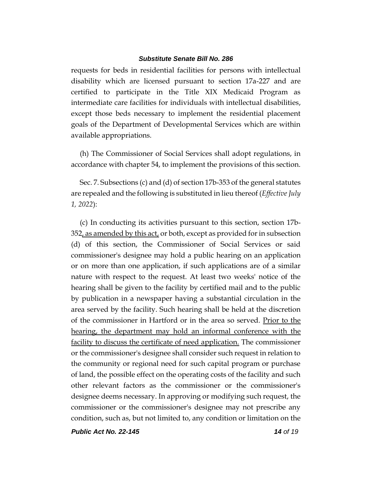requests for beds in residential facilities for persons with intellectual disability which are licensed pursuant to section 17a-227 and are certified to participate in the Title XIX Medicaid Program as intermediate care facilities for individuals with intellectual disabilities, except those beds necessary to implement the residential placement goals of the Department of Developmental Services which are within available appropriations.

(h) The Commissioner of Social Services shall adopt regulations, in accordance with chapter 54, to implement the provisions of this section.

Sec. 7. Subsections (c) and (d) of section 17b-353 of the general statutes are repealed and the following is substituted in lieu thereof (*Effective July 1, 2022*):

(c) In conducting its activities pursuant to this section, section 17b-352, as amended by this act, or both, except as provided for in subsection (d) of this section, the Commissioner of Social Services or said commissioner's designee may hold a public hearing on an application or on more than one application, if such applications are of a similar nature with respect to the request. At least two weeks' notice of the hearing shall be given to the facility by certified mail and to the public by publication in a newspaper having a substantial circulation in the area served by the facility. Such hearing shall be held at the discretion of the commissioner in Hartford or in the area so served. Prior to the hearing, the department may hold an informal conference with the facility to discuss the certificate of need application. The commissioner or the commissioner's designee shall consider such request in relation to the community or regional need for such capital program or purchase of land, the possible effect on the operating costs of the facility and such other relevant factors as the commissioner or the commissioner's designee deems necessary. In approving or modifying such request, the commissioner or the commissioner's designee may not prescribe any condition, such as, but not limited to, any condition or limitation on the

*Public Act No. 22-145 14 of 19*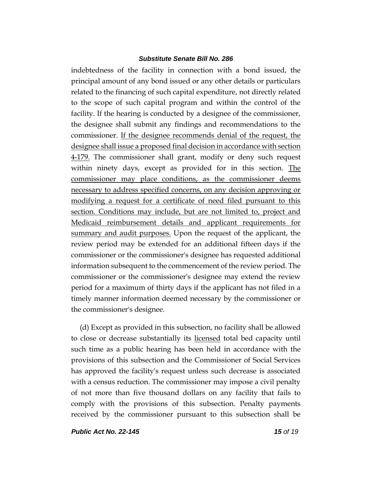indebtedness of the facility in connection with a bond issued, the principal amount of any bond issued or any other details or particulars related to the financing of such capital expenditure, not directly related to the scope of such capital program and within the control of the facility. If the hearing is conducted by a designee of the commissioner, the designee shall submit any findings and recommendations to the commissioner. If the designee recommends denial of the request, the designee shall issue a proposed final decision in accordance with section 4-179. The commissioner shall grant, modify or deny such request within ninety days, except as provided for in this section. The commissioner may place conditions, as the commissioner deems necessary to address specified concerns, on any decision approving or modifying a request for a certificate of need filed pursuant to this section. Conditions may include, but are not limited to, project and Medicaid reimbursement details and applicant requirements for summary and audit purposes. Upon the request of the applicant, the review period may be extended for an additional fifteen days if the commissioner or the commissioner's designee has requested additional information subsequent to the commencement of the review period. The commissioner or the commissioner's designee may extend the review period for a maximum of thirty days if the applicant has not filed in a timely manner information deemed necessary by the commissioner or the commissioner's designee.

(d) Except as provided in this subsection, no facility shall be allowed to close or decrease substantially its licensed total bed capacity until such time as a public hearing has been held in accordance with the provisions of this subsection and the Commissioner of Social Services has approved the facility's request unless such decrease is associated with a census reduction. The commissioner may impose a civil penalty of not more than five thousand dollars on any facility that fails to comply with the provisions of this subsection. Penalty payments received by the commissioner pursuant to this subsection shall be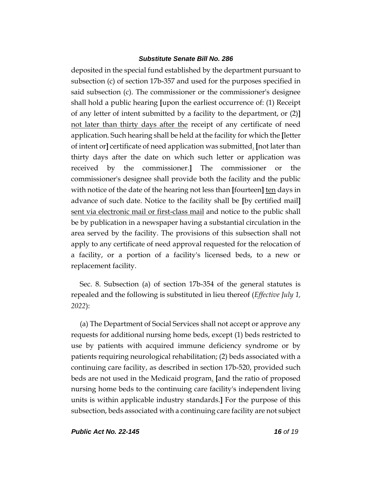deposited in the special fund established by the department pursuant to subsection (c) of section 17b-357 and used for the purposes specified in said subsection (c). The commissioner or the commissioner's designee shall hold a public hearing **[**upon the earliest occurrence of: (1) Receipt of any letter of intent submitted by a facility to the department, or (2)**]** not later than thirty days after the receipt of any certificate of need application. Such hearing shall be held at the facility for which the **[**letter of intent or**]** certificate of need application was submitted. **[**not later than thirty days after the date on which such letter or application was received by the commissioner.**]** The commissioner or the commissioner's designee shall provide both the facility and the public with notice of the date of the hearing not less than **[**fourteen**]** ten days in advance of such date. Notice to the facility shall be **[**by certified mail**]** sent via electronic mail or first-class mail and notice to the public shall be by publication in a newspaper having a substantial circulation in the area served by the facility. The provisions of this subsection shall not apply to any certificate of need approval requested for the relocation of a facility, or a portion of a facility's licensed beds, to a new or replacement facility.

Sec. 8. Subsection (a) of section 17b-354 of the general statutes is repealed and the following is substituted in lieu thereof (*Effective July 1, 2022*):

(a) The Department of Social Services shall not accept or approve any requests for additional nursing home beds, except (1) beds restricted to use by patients with acquired immune deficiency syndrome or by patients requiring neurological rehabilitation; (2) beds associated with a continuing care facility, as described in section 17b-520, provided such beds are not used in the Medicaid program. **[**and the ratio of proposed nursing home beds to the continuing care facility's independent living units is within applicable industry standards.**]** For the purpose of this subsection, beds associated with a continuing care facility are not subject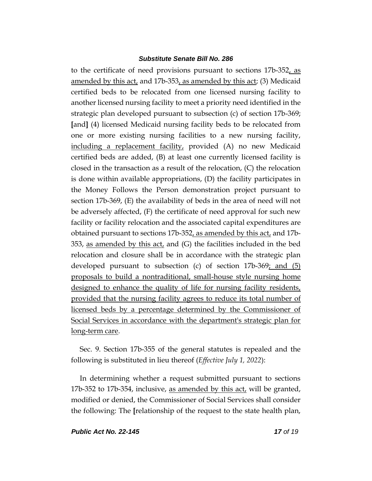to the certificate of need provisions pursuant to sections 17b-352, as amended by this act, and 17b-353, as amended by this act; (3) Medicaid certified beds to be relocated from one licensed nursing facility to another licensed nursing facility to meet a priority need identified in the strategic plan developed pursuant to subsection (c) of section 17b-369; **[**and**]** (4) licensed Medicaid nursing facility beds to be relocated from one or more existing nursing facilities to a new nursing facility, including a replacement facility, provided (A) no new Medicaid certified beds are added, (B) at least one currently licensed facility is closed in the transaction as a result of the relocation, (C) the relocation is done within available appropriations, (D) the facility participates in the Money Follows the Person demonstration project pursuant to section 17b-369, (E) the availability of beds in the area of need will not be adversely affected, (F) the certificate of need approval for such new facility or facility relocation and the associated capital expenditures are obtained pursuant to sections 17b-352, as amended by this act, and 17b-353, as amended by this act, and (G) the facilities included in the bed relocation and closure shall be in accordance with the strategic plan developed pursuant to subsection (c) of section  $17b-369$ ; and  $(5)$ proposals to build a nontraditional, small-house style nursing home designed to enhance the quality of life for nursing facility residents, provided that the nursing facility agrees to reduce its total number of licensed beds by a percentage determined by the Commissioner of Social Services in accordance with the department's strategic plan for long-term care.

Sec. 9. Section 17b-355 of the general statutes is repealed and the following is substituted in lieu thereof (*Effective July 1, 2022*):

In determining whether a request submitted pursuant to sections 17b-352 to 17b-354, inclusive, as amended by this act, will be granted, modified or denied, the Commissioner of Social Services shall consider the following: The **[**relationship of the request to the state health plan,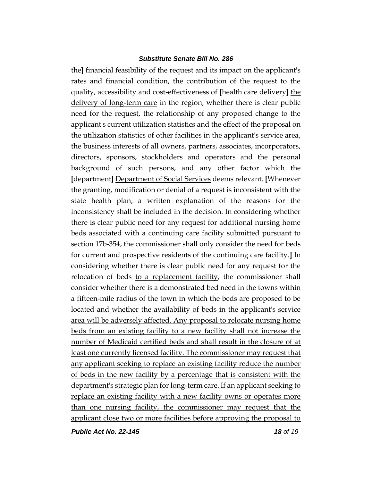the**]** financial feasibility of the request and its impact on the applicant's rates and financial condition, the contribution of the request to the quality, accessibility and cost-effectiveness of **[**health care delivery**]** the delivery of long-term care in the region, whether there is clear public need for the request, the relationship of any proposed change to the applicant's current utilization statistics and the effect of the proposal on the utilization statistics of other facilities in the applicant's service area, the business interests of all owners, partners, associates, incorporators, directors, sponsors, stockholders and operators and the personal background of such persons, and any other factor which the **[**department**]** Department of Social Services deems relevant. **[**Whenever the granting, modification or denial of a request is inconsistent with the state health plan, a written explanation of the reasons for the inconsistency shall be included in the decision. In considering whether there is clear public need for any request for additional nursing home beds associated with a continuing care facility submitted pursuant to section 17b-354, the commissioner shall only consider the need for beds for current and prospective residents of the continuing care facility.**]** In considering whether there is clear public need for any request for the relocation of beds to a replacement facility, the commissioner shall consider whether there is a demonstrated bed need in the towns within a fifteen-mile radius of the town in which the beds are proposed to be located and whether the availability of beds in the applicant's service area will be adversely affected. Any proposal to relocate nursing home beds from an existing facility to a new facility shall not increase the number of Medicaid certified beds and shall result in the closure of at least one currently licensed facility. The commissioner may request that any applicant seeking to replace an existing facility reduce the number of beds in the new facility by a percentage that is consistent with the department's strategic plan for long-term care. If an applicant seeking to replace an existing facility with a new facility owns or operates more than one nursing facility, the commissioner may request that the applicant close two or more facilities before approving the proposal to

*Public Act No. 22-145 18 of 19*